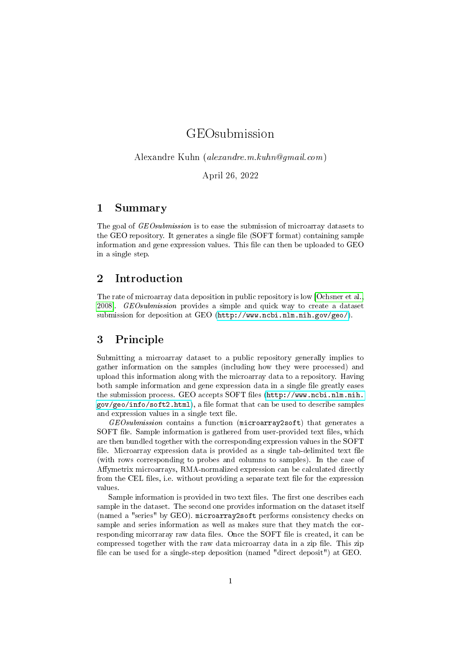# GEOsubmission

Alexandre Kuhn (alexandre.m.kuhn@gmail.com)

April 26, 2022

### 1 Summary

The goal of *GEOsubmission* is to ease the submission of microarray datasets to the GEO repository. It generates a single file (SOFT format) containing sample information and gene expression values. This file can then be uploaded to GEO in a single step.

## 2 Introduction

The rate of microarray data deposition in public repository is low [\[Ochsner et al.,](#page-4-0) 2008. GEOsubmission provides a simple and quick way to create a dataset submission for deposition at GEO [\(http://www.ncbi.nlm.nih.gov/geo/\)](http://www.ncbi.nlm.nih.gov/geo/).

#### 3 Principle

Submitting a microarray dataset to a public repository generally implies to gather information on the samples (including how they were processed) and upload this information along with the microarray data to a repository. Having both sample information and gene expression data in a single file greatly eases the submission process. GEO accepts SOFT files [\(http://www.ncbi.nlm.nih.](http://www.ncbi.nlm.nih.gov/geo/info/soft2.html)  $gov/geo/info/soft2.html$ , a file format that can be used to describe samples and expression values in a single text file.

 $GEOsubmission$  contains a function (microarray2soft) that generates a SOFT file. Sample information is gathered from user-provided text files, which are then bundled together with the corresponding expression values in the SOFT file. Microarray expression data is provided as a single tab-delimited text file (with rows corresponding to probes and columns to samples). In the case of Affymetrix microarrays, RMA-normalized expression can be calculated directly from the CEL files, i.e. without providing a separate text file for the expression values.

Sample information is provided in two text files. The first one describes each sample in the dataset. The second one provides information on the dataset itself (named a "series" by GEO). microarray2soft performs consistency checks on sample and series information as well as makes sure that they match the corresponding micorraray raw data files. Once the SOFT file is created, it can be compressed together with the raw data microarray data in a zip file. This zip file can be used for a single-step deposition (named "direct deposit") at GEO.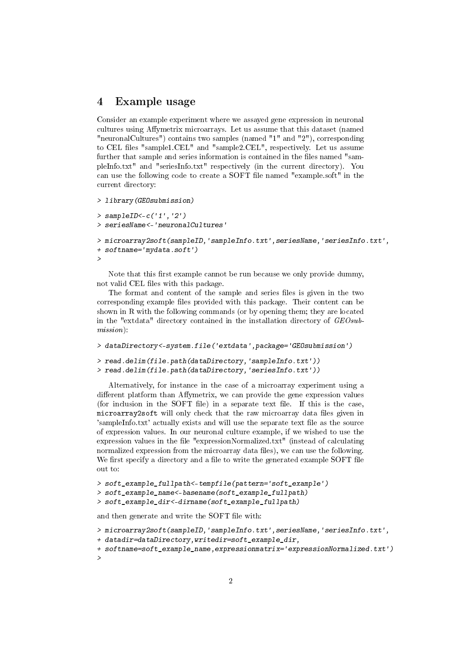### 4 Example usage

Consider an example experiment where we assayed gene expression in neuronal cultures using Affymetrix microarrays. Let us assume that this dataset (named "neuronalCultures") contains two samples (named "1" and "2"), corresponding to CEL files "sample1.CEL" and "sample2.CEL", respectively. Let us assume further that sample and series information is contained in the files named "sampleInfo.txt" and "seriesInfo.txt" respectively (in the current directory). You can use the following code to create a SOFT file named "example.soft" in the current directory:

```
> library(GEOsubmission)
```

```
> sampleID < - c('1','2')
> seriesName<-'neuronalCultures'
> microarray2soft(sampleID,'sampleInfo.txt',seriesName,'seriesInfo.txt',
+ softname='mydata.soft')
>
```
Note that this first example cannot be run because we only provide dummy, not valid CEL files with this package.

The format and content of the sample and series files is given in the two corresponding example files provided with this package. Their content can be shown in R with the following commands (or by opening them; they are located in the "extdata" directory contained in the installation directory of  $GEOsub$ mission):

```
> dataDirectory<-system.file('extdata',package='GEOsubmission')
> read.delim(file.path(dataDirectory,'sampleInfo.txt'))
> read.delim(file.path(dataDirectory,'seriesInfo.txt'))
```
Alternatively, for instance in the case of a microarray experiment using a different platform than Affymetrix, we can provide the gene expression values (for inclusion in the SOFT file) in a separate text file. If this is the case, microarray2soft will only check that the raw microarray data files given in  $\gamma$ 'sampleInfo.txt' actually exists and will use the separate text file as the source of expression values. In our neuronal culture example, if we wished to use the expression values in the le "expressionNormalized.txt" (instead of calculating normalized expression from the microarray data files), we can use the following. We first specify a directory and a file to write the generated example SOFT file out to:

```
> soft_example_fullpath<-tempfile(pattern='soft_example')
```

```
> soft_example_name<-basename(soft_example_fullpath)
```

```
> soft_example_dir<-dirname(soft_example_fullpath)
```
and then generate and write the SOFT file with:

```
> microarray2soft(sampleID,'sampleInfo.txt',seriesName,'seriesInfo.txt',
```

```
+ datadir=dataDirectory,writedir=soft_example_dir,
```

```
+ softname=soft_example_name,expressionmatrix='expressionNormalized.txt')
```

```
>
```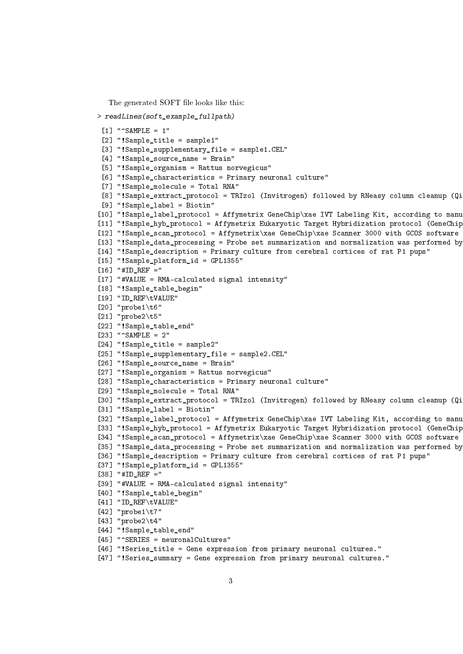The generated SOFT file looks like this:

```
> readLines(soft_example_fullpath)
```
 $[1]$  " $\cap$ SAMPLE = 1" [2] "!Sample\_title = sample1" [3] "!Sample\_supplementary\_file = sample1.CEL" [4] "!Sample source name = Brain" [5] "!Sample\_organism = Rattus norvegicus" [6] "!Sample\_characteristics = Primary neuronal culture" [7] "!Sample\_molecule = Total RNA" [8] "!Sample\_extract\_protocol = TRIzol (Invitrogen) followed by RNeasy column cleanup (Qi [9] "!Sample\_label = Biotin" [10] "!Sample\_label\_protocol = Affymetrix GeneChip\xae IVT Labeling Kit, according to manu [11] "!Sample\_hyb\_protocol = Affymetrix Eukaryotic Target Hybridization protocol (GeneChip [12] "!Sample\_scan\_protocol = Affymetrix\xae GeneChip\xae Scanner 3000 with GCOS software [13] "!Sample\_data\_processing = Probe set summarization and normalization was performed by [14] "!Sample\_description = Primary culture from cerebral cortices of rat P1 pups" [15] "!Sample\_platform\_id = GPL1355"  $[16]$  "#ID REF =" [17] "#VALUE = RMA-calculated signal intensity" [18] "!Sample\_table\_begin" [19] "ID\_REF\tVALUE" [20] "probe1\t6" [21] "probe2\t5" [22] "!Sample\_table\_end" [23] "^SAMPLE = 2" [24] "!Sample\_title = sample2" [25] "!Sample\_supplementary\_file = sample2.CEL" [26] "!Sample\_source\_name = Brain" [27] "!Sample\_organism = Rattus norvegicus" [28] "!Sample\_characteristics = Primary neuronal culture" [29] "!Sample\_molecule = Total RNA" [30] "!Sample\_extract\_protocol = TRIzol (Invitrogen) followed by RNeasy column cleanup (Qi [31] "!Sample\_label = Biotin" [32] "!Sample\_label\_protocol = Affymetrix GeneChip\xae IVT Labeling Kit, according to manu [33] "!Sample\_hyb\_protocol = Affymetrix Eukaryotic Target Hybridization protocol (GeneChip [34] "!Sample\_scan\_protocol = Affymetrix\xae GeneChip\xae Scanner 3000 with GCOS software [35] "!Sample\_data\_processing = Probe set summarization and normalization was performed by [36] "!Sample\_description = Primary culture from cerebral cortices of rat P1 pups" [37] "!Sample\_platform\_id = GPL1355" [38] "#ID REF =" [39] "#VALUE = RMA-calculated signal intensity" [40] "!Sample\_table\_begin" [41] "ID\_REF\tVALUE" [42] "probe1\t7" [43] "probe2\t4" [44] "!Sample\_table\_end" [45] "^SERIES = neuronalCultures" [46] "!Series\_title = Gene expression from primary neuronal cultures." [47] "!Series\_summary = Gene expression from primary neuronal cultures."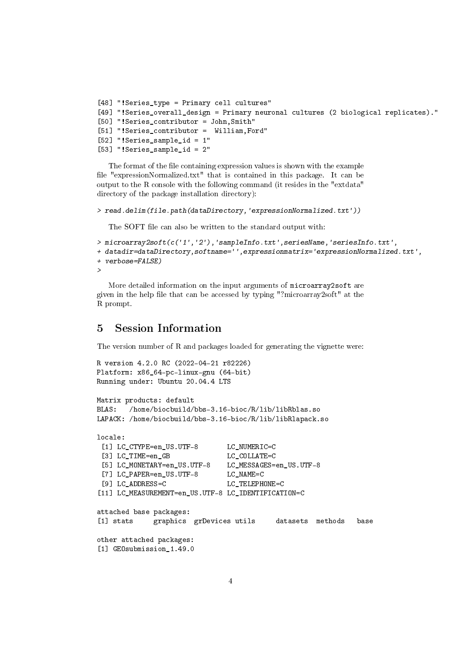```
[48] "!Series_type = Primary cell cultures"
[49] "!Series_overall_design = Primary neuronal cultures (2 biological replicates)."
[50] "!Series_contributor = John,Smith"
[51] "!Series_contributor = William, Ford"
[52] "!Series_sample_id = 1"
[53] "!Series_sample_id = 2"
```
The format of the file containing expression values is shown with the example file "expressionNormalized.txt" that is contained in this package. It can be output to the R console with the following command (it resides in the "extdata" directory of the package installation directory):

```
> read.delim(file.path(dataDirectory,'expressionNormalized.txt'))
```
The SOFT file can also be written to the standard output with:

```
> microarray2soft(c('1','2'),'sampleInfo.txt',seriesName,'seriesInfo.txt',
+ datadir=dataDirectory,softname='',expressionmatrix='expressionNormalized.txt',
+ verbose=FALSE)
>
```
More detailed information on the input arguments of microarray2soft are given in the help file that can be accessed by typing "?microarray2soft" at the R prompt.

## 5 Session Information

The version number of R and packages loaded for generating the vignette were:

```
R version 4.2.0 RC (2022-04-21 r82226)
Platform: x86_64-pc-linux-gnu (64-bit)
Running under: Ubuntu 20.04.4 LTS
```

```
Matrix products: default
BLAS: /home/biocbuild/bbs-3.16-bioc/R/lib/libRblas.so
LAPACK: /home/biocbuild/bbs-3.16-bioc/R/lib/libRlapack.so
```

```
locale:
[1] LC_CTYPE=en_US.UTF-8 LC_NUMERIC=C
 [3] LC_TIME=en_GB LC_COLLATE=C
 [5] LC_MONETARY=en_US.UTF-8 LC_MESSAGES=en_US.UTF-8
 [7] LC PAPER=en US.UTF-8 LC NAME=C
[9] LC ADDRESS=C LC TELEPHONE=C
[11] LC_MEASUREMENT=en_US.UTF-8 LC_IDENTIFICATION=C
attached base packages:
[1] stats graphics grDevices utils datasets methods base
other attached packages:
[1] GEOsubmission_1.49.0
```